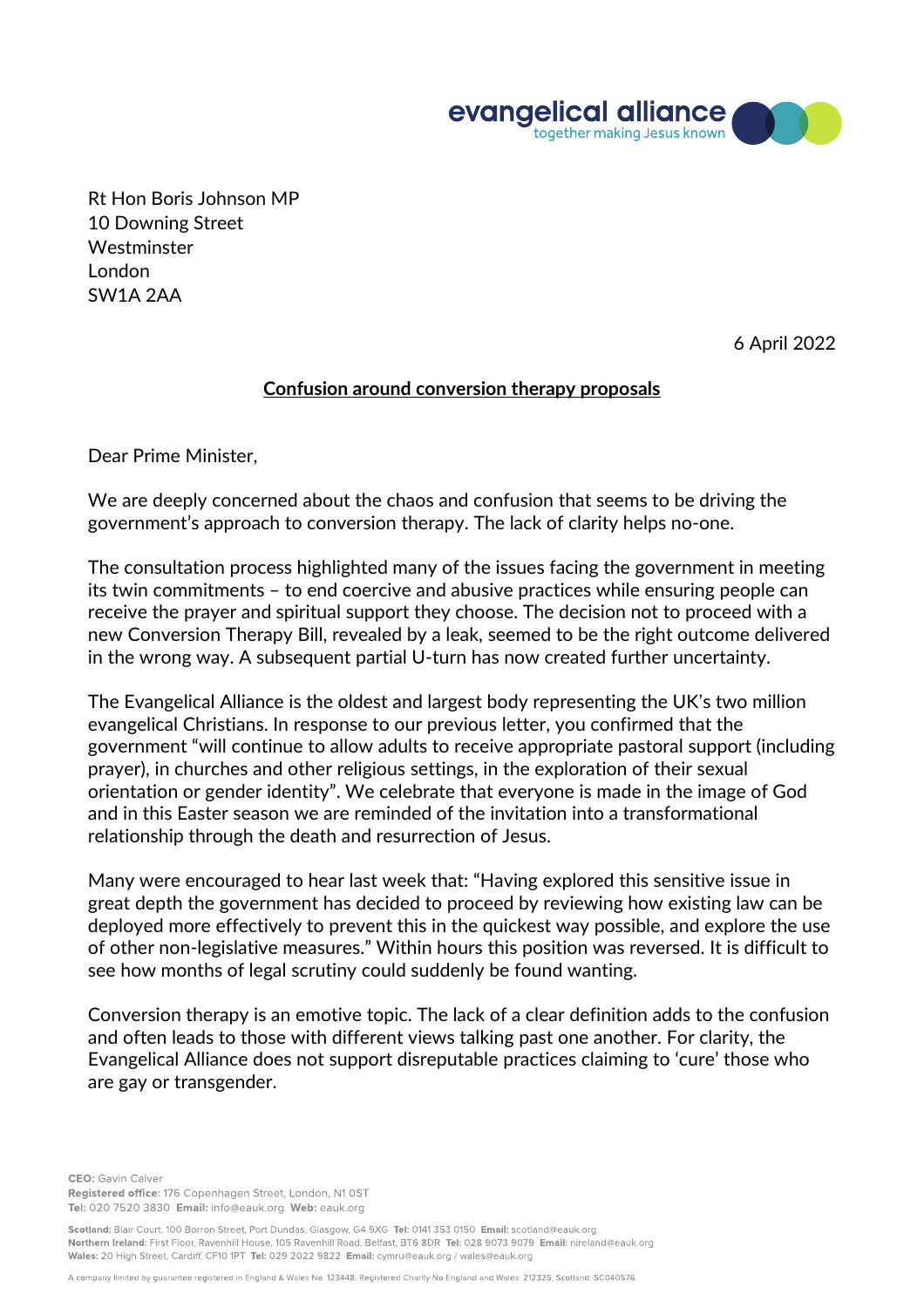

Rt Hon Boris Johnson MP 10 Downing Street Westminster London SW1A 2AA

6 April 2022

## **Confusion around conversion therapy proposals**

Dear Prime Minister,

We are deeply concerned about the chaos and confusion that seems to be driving the government's approach to conversion therapy. The lack of clarity helps no-one.

The consultation process highlighted many of the issues facing the government in meeting its twin commitments – to end coercive and abusive practices while ensuring people can receive the prayer and spiritual support they choose. The decision not to proceed with a new Conversion Therapy Bill, revealed by a leak, seemed to be the right outcome delivered in the wrong way. A subsequent partial U-turn has now created further uncertainty.

The Evangelical Alliance is the oldest and largest body representing the UK's two million evangelical Christians. In response to our previous letter, you confirmed that the government "will continue to allow adults to receive appropriate pastoral support (including prayer), in churches and other religious settings, in the exploration of their sexual orientation or gender identity". We celebrate that everyone is made in the image of God and in this Easter season we are reminded of the invitation into a transformational relationship through the death and resurrection of Jesus.

Many were encouraged to hear last week that: "Having explored this sensitive issue in great depth the government has decided to proceed by reviewing how existing law can be deployed more effectively to prevent this in the quickest way possible, and explore the use of other non-legislative measures." Within hours this position was reversed. It is difficult to see how months of legal scrutiny could suddenly be found wanting.

Conversion therapy is an emotive topic. The lack of a clear definition adds to the confusion and often leads to those with different views talking past one another. For clarity, the Evangelical Alliance does not support disreputable practices claiming to 'cure' those who are gay or transgender.

**CEO**: Gavin Calver Registered office: 176 Copenhagen Street, London, N1 OST Tel: 020 7520 3830 Email: info@eauk.org Web: eauk.org

Scotland: Blair Court, 100 Borron Street, Port Dundas, Glasgow, G4 9XG Tel: 0141 353 0150 Email: scotland@eauk.org Northern Ireland: First Floor, Ravenhill House, 105 Ravenhill Road, Belfast, BT6 8DR Tel: 028 9073 9079 Email: nireland@eauk.org Wales: 20 High Street, Cardiff, CF10 1PT Tel: 029 2022 9822 Email: cymru@eauk.org / wales@eauk.org

A company limited by guarantee registered in England & Wales No. 123448. Registered Charity No England and Wales: 212325, Scotland: SC040576.